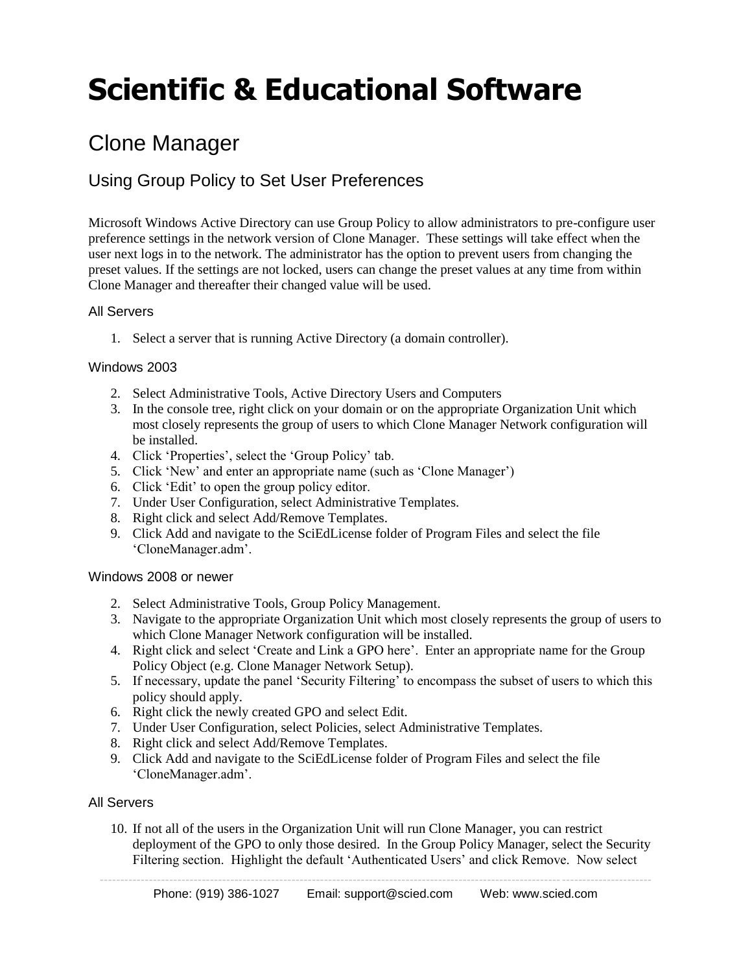# **Scientific & Educational Software**

## Clone Manager

### Using Group Policy to Set User Preferences

Microsoft Windows Active Directory can use Group Policy to allow administrators to pre-configure user preference settings in the network version of Clone Manager. These settings will take effect when the user next logs in to the network. The administrator has the option to prevent users from changing the preset values. If the settings are not locked, users can change the preset values at any time from within Clone Manager and thereafter their changed value will be used.

#### All Servers

1. Select a server that is running Active Directory (a domain controller).

#### Windows 2003

- 2. Select Administrative Tools, Active Directory Users and Computers
- 3. In the console tree, right click on your domain or on the appropriate Organization Unit which most closely represents the group of users to which Clone Manager Network configuration will be installed.
- 4. Click 'Properties', select the 'Group Policy' tab.
- 5. Click 'New' and enter an appropriate name (such as 'Clone Manager')
- 6. Click 'Edit' to open the group policy editor.
- 7. Under User Configuration, select Administrative Templates.
- 8. Right click and select Add/Remove Templates.
- 9. Click Add and navigate to the SciEdLicense folder of Program Files and select the file 'CloneManager.adm'.

#### Windows 2008 or newer

- 2. Select Administrative Tools, Group Policy Management.
- 3. Navigate to the appropriate Organization Unit which most closely represents the group of users to which Clone Manager Network configuration will be installed.
- 4. Right click and select 'Create and Link a GPO here'. Enter an appropriate name for the Group Policy Object (e.g. Clone Manager Network Setup).
- 5. If necessary, update the panel 'Security Filtering' to encompass the subset of users to which this policy should apply.
- 6. Right click the newly created GPO and select Edit.
- 7. Under User Configuration, select Policies, select Administrative Templates.
- 8. Right click and select Add/Remove Templates.
- 9. Click Add and navigate to the SciEdLicense folder of Program Files and select the file 'CloneManager.adm'.

#### All Servers

10. If not all of the users in the Organization Unit will run Clone Manager, you can restrict deployment of the GPO to only those desired. In the Group Policy Manager, select the Security Filtering section. Highlight the default 'Authenticated Users' and click Remove. Now select